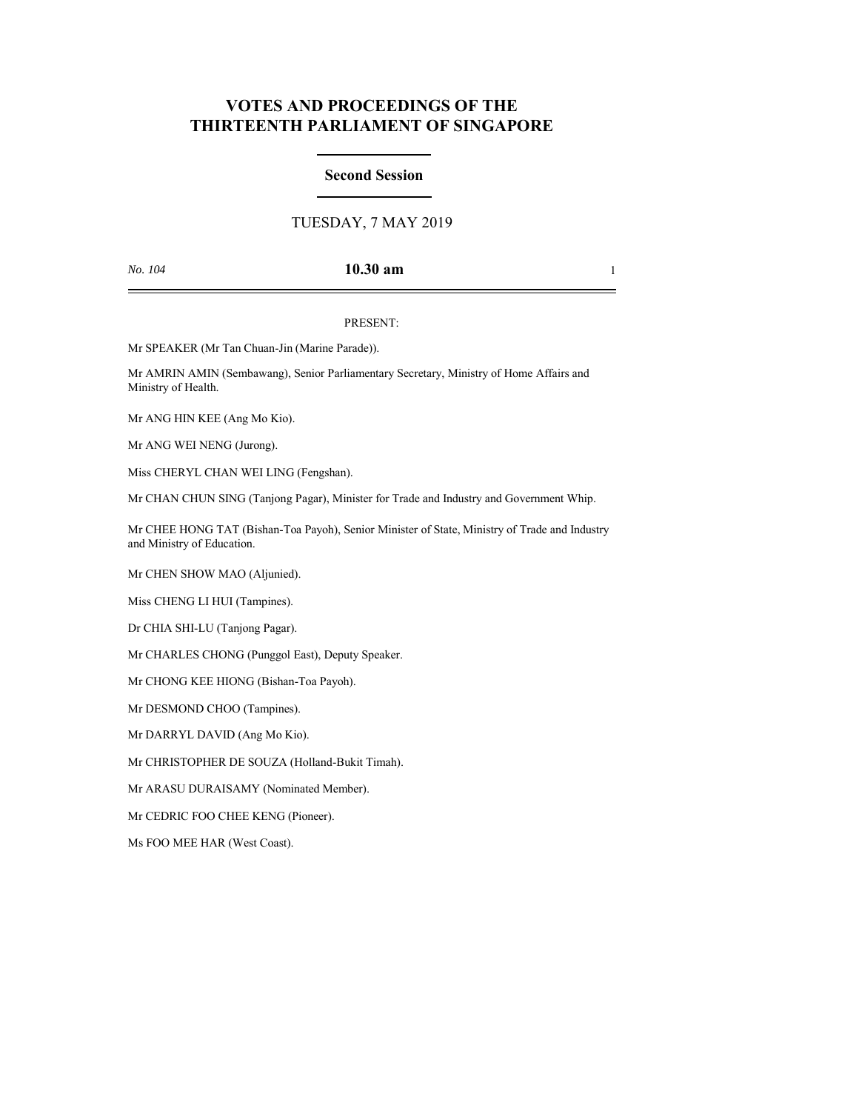# **VOTES AND PROCEEDINGS OF THE THIRTEENTH PARLIAMENT OF SINGAPORE**

## **Second Session**

## TUESDAY, 7 MAY 2019

## *No. 104* **10.30 am** 1

### PRESENT:

Mr SPEAKER (Mr Tan Chuan-Jin (Marine Parade)).

Mr AMRIN AMIN (Sembawang), Senior Parliamentary Secretary, Ministry of Home Affairs and Ministry of Health.

Mr ANG HIN KEE (Ang Mo Kio).

Mr ANG WEI NENG (Jurong).

Miss CHERYL CHAN WEI LING (Fengshan).

Mr CHAN CHUN SING (Tanjong Pagar), Minister for Trade and Industry and Government Whip.

Mr CHEE HONG TAT (Bishan-Toa Payoh), Senior Minister of State, Ministry of Trade and Industry and Ministry of Education.

Mr CHEN SHOW MAO (Aljunied).

Miss CHENG LI HUI (Tampines).

Dr CHIA SHI-LU (Tanjong Pagar).

Mr CHARLES CHONG (Punggol East), Deputy Speaker.

Mr CHONG KEE HIONG (Bishan-Toa Payoh).

Mr DESMOND CHOO (Tampines).

Mr DARRYL DAVID (Ang Mo Kio).

Mr CHRISTOPHER DE SOUZA (Holland-Bukit Timah).

Mr ARASU DURAISAMY (Nominated Member).

Mr CEDRIC FOO CHEE KENG (Pioneer).

Ms FOO MEE HAR (West Coast).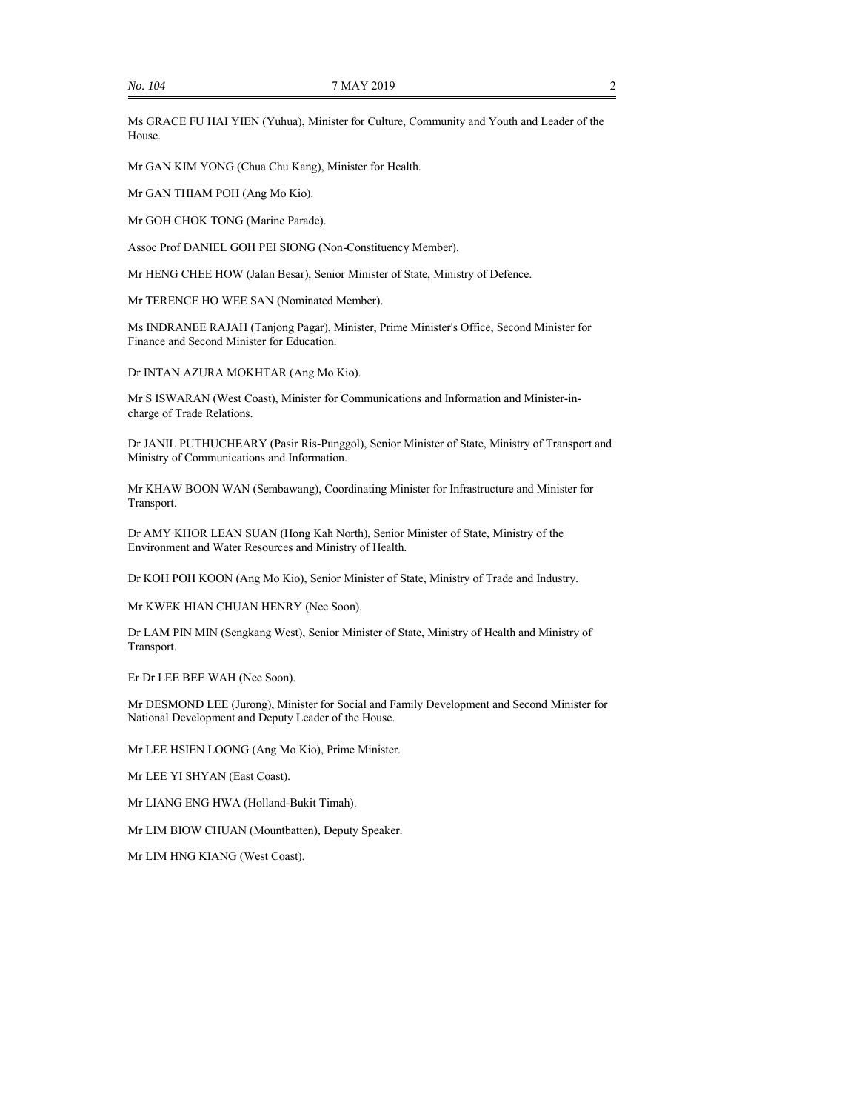Ms GRACE FU HAI YIEN (Yuhua), Minister for Culture, Community and Youth and Leader of the House.

Mr GAN KIM YONG (Chua Chu Kang), Minister for Health.

Mr GAN THIAM POH (Ang Mo Kio).

Mr GOH CHOK TONG (Marine Parade).

Assoc Prof DANIEL GOH PEI SIONG (Non-Constituency Member).

Mr HENG CHEE HOW (Jalan Besar), Senior Minister of State, Ministry of Defence.

Mr TERENCE HO WEE SAN (Nominated Member).

Ms INDRANEE RAJAH (Tanjong Pagar), Minister, Prime Minister's Office, Second Minister for Finance and Second Minister for Education.

Dr INTAN AZURA MOKHTAR (Ang Mo Kio).

Mr S ISWARAN (West Coast), Minister for Communications and Information and Minister-incharge of Trade Relations.

Dr JANIL PUTHUCHEARY (Pasir Ris-Punggol), Senior Minister of State, Ministry of Transport and Ministry of Communications and Information.

Mr KHAW BOON WAN (Sembawang), Coordinating Minister for Infrastructure and Minister for Transport.

Dr AMY KHOR LEAN SUAN (Hong Kah North), Senior Minister of State, Ministry of the Environment and Water Resources and Ministry of Health.

Dr KOH POH KOON (Ang Mo Kio), Senior Minister of State, Ministry of Trade and Industry.

Mr KWEK HIAN CHUAN HENRY (Nee Soon).

Dr LAM PIN MIN (Sengkang West), Senior Minister of State, Ministry of Health and Ministry of Transport.

Er Dr LEE BEE WAH (Nee Soon).

Mr DESMOND LEE (Jurong), Minister for Social and Family Development and Second Minister for National Development and Deputy Leader of the House.

Mr LEE HSIEN LOONG (Ang Mo Kio), Prime Minister.

Mr LEE YI SHYAN (East Coast).

Mr LIANG ENG HWA (Holland-Bukit Timah).

Mr LIM BIOW CHUAN (Mountbatten), Deputy Speaker.

Mr LIM HNG KIANG (West Coast).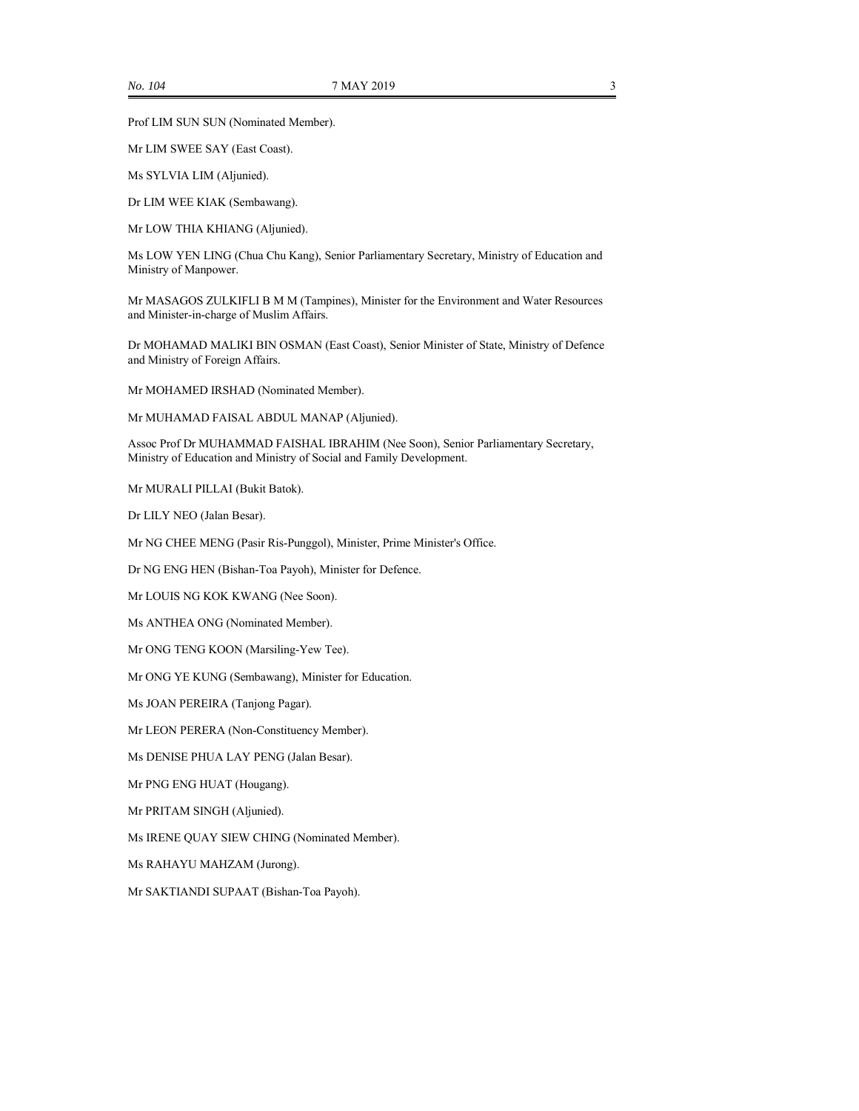Prof LIM SUN SUN (Nominated Member).

Mr LIM SWEE SAY (East Coast).

Ms SYLVIA LIM (Aljunied).

Dr LIM WEE KIAK (Sembawang).

Mr LOW THIA KHIANG (Aljunied).

Ms LOW YEN LING (Chua Chu Kang), Senior Parliamentary Secretary, Ministry of Education and Ministry of Manpower.

Mr MASAGOS ZULKIFLI B M M (Tampines), Minister for the Environment and Water Resources and Minister-in-charge of Muslim Affairs.

Dr MOHAMAD MALIKI BIN OSMAN (East Coast), Senior Minister of State, Ministry of Defence and Ministry of Foreign Affairs.

Mr MOHAMED IRSHAD (Nominated Member).

Mr MUHAMAD FAISAL ABDUL MANAP (Aljunied).

Assoc Prof Dr MUHAMMAD FAISHAL IBRAHIM (Nee Soon), Senior Parliamentary Secretary, Ministry of Education and Ministry of Social and Family Development.

Mr MURALI PILLAI (Bukit Batok).

Dr LILY NEO (Jalan Besar).

Mr NG CHEE MENG (Pasir Ris-Punggol), Minister, Prime Minister's Office.

Dr NG ENG HEN (Bishan-Toa Payoh), Minister for Defence.

Mr LOUIS NG KOK KWANG (Nee Soon).

Ms ANTHEA ONG (Nominated Member).

Mr ONG TENG KOON (Marsiling-Yew Tee).

Mr ONG YE KUNG (Sembawang), Minister for Education.

Ms JOAN PEREIRA (Tanjong Pagar).

Mr LEON PERERA (Non-Constituency Member).

Ms DENISE PHUA LAY PENG (Jalan Besar).

Mr PNG ENG HUAT (Hougang).

Mr PRITAM SINGH (Aljunied).

Ms IRENE QUAY SIEW CHING (Nominated Member).

Ms RAHAYU MAHZAM (Jurong).

Mr SAKTIANDI SUPAAT (Bishan-Toa Payoh).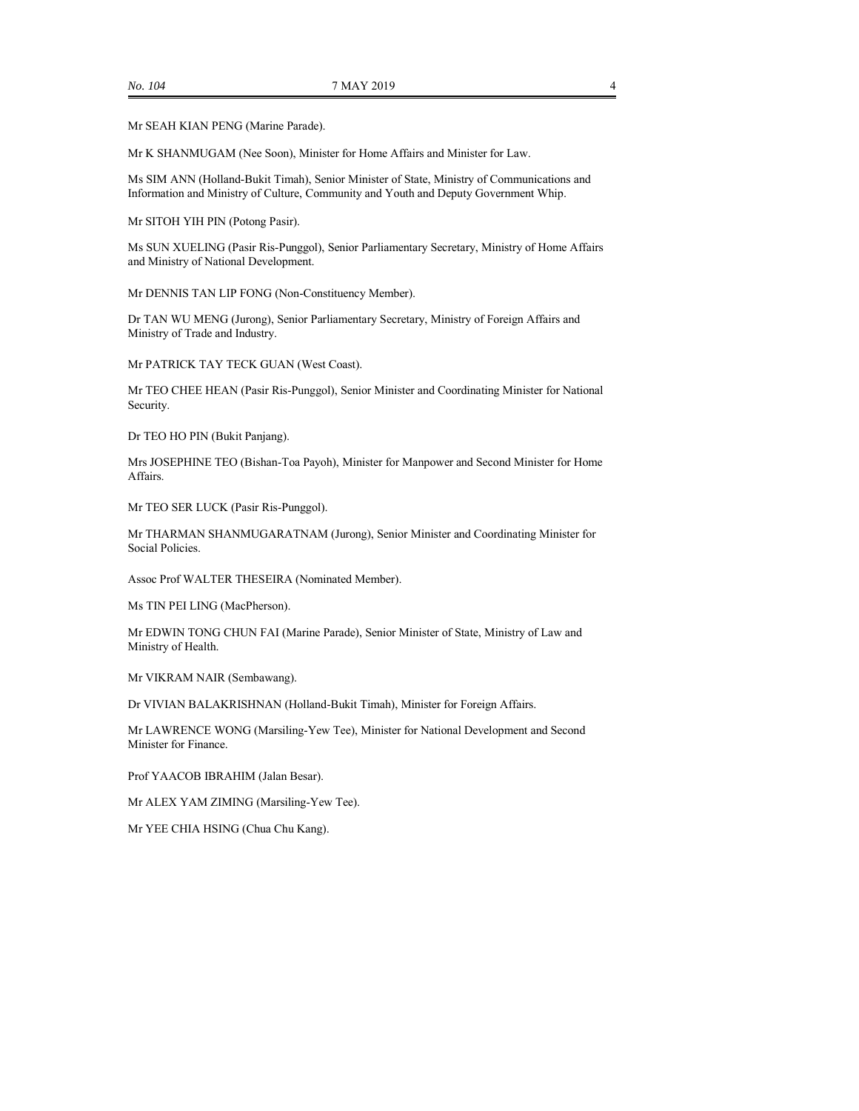Mr SEAH KIAN PENG (Marine Parade).

Mr K SHANMUGAM (Nee Soon), Minister for Home Affairs and Minister for Law.

Ms SIM ANN (Holland-Bukit Timah), Senior Minister of State, Ministry of Communications and Information and Ministry of Culture, Community and Youth and Deputy Government Whip.

Mr SITOH YIH PIN (Potong Pasir).

Ms SUN XUELING (Pasir Ris-Punggol), Senior Parliamentary Secretary, Ministry of Home Affairs and Ministry of National Development.

Mr DENNIS TAN LIP FONG (Non-Constituency Member).

Dr TAN WU MENG (Jurong), Senior Parliamentary Secretary, Ministry of Foreign Affairs and Ministry of Trade and Industry.

Mr PATRICK TAY TECK GUAN (West Coast).

Mr TEO CHEE HEAN (Pasir Ris-Punggol), Senior Minister and Coordinating Minister for National Security.

Dr TEO HO PIN (Bukit Panjang).

Mrs JOSEPHINE TEO (Bishan-Toa Payoh), Minister for Manpower and Second Minister for Home Affairs.

Mr TEO SER LUCK (Pasir Ris-Punggol).

Mr THARMAN SHANMUGARATNAM (Jurong), Senior Minister and Coordinating Minister for Social Policies.

Assoc Prof WALTER THESEIRA (Nominated Member).

Ms TIN PEI LING (MacPherson).

Mr EDWIN TONG CHUN FAI (Marine Parade), Senior Minister of State, Ministry of Law and Ministry of Health.

Mr VIKRAM NAIR (Sembawang).

Dr VIVIAN BALAKRISHNAN (Holland-Bukit Timah), Minister for Foreign Affairs.

Mr LAWRENCE WONG (Marsiling-Yew Tee), Minister for National Development and Second Minister for Finance.

Prof YAACOB IBRAHIM (Jalan Besar).

Mr ALEX YAM ZIMING (Marsiling-Yew Tee).

Mr YEE CHIA HSING (Chua Chu Kang).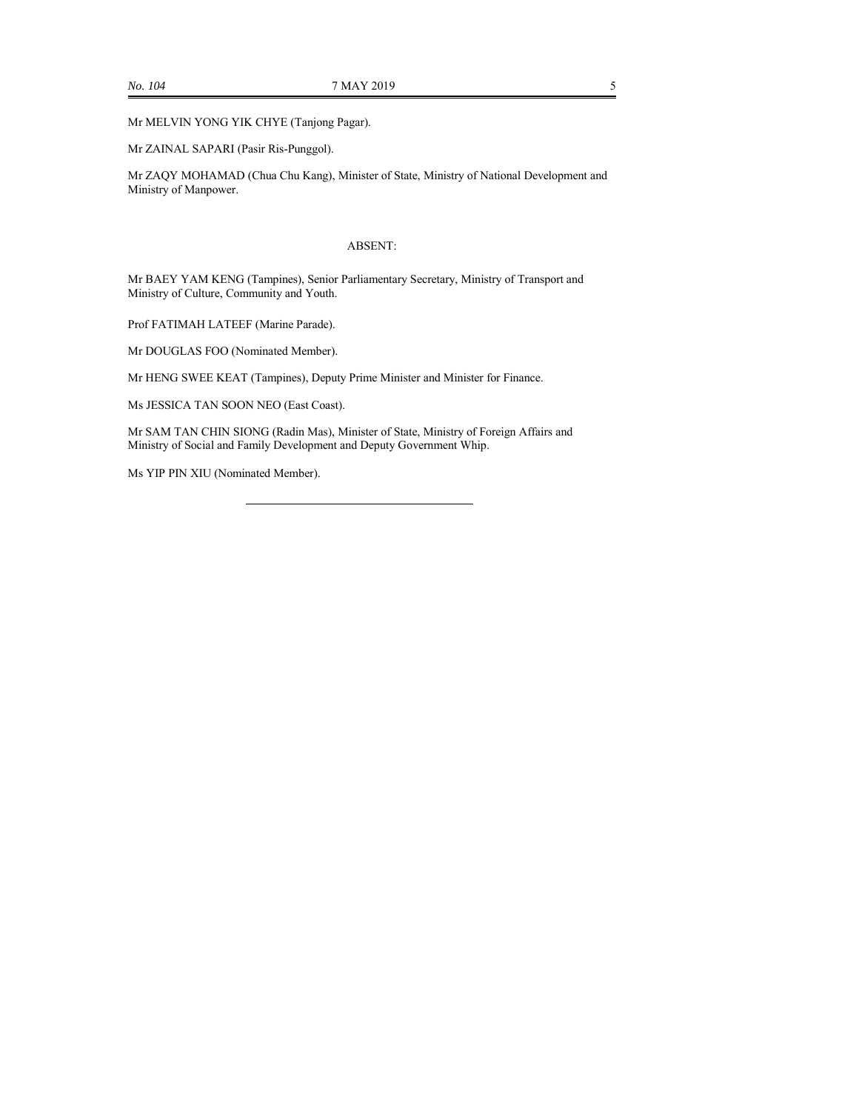Mr MELVIN YONG YIK CHYE (Tanjong Pagar).

Mr ZAINAL SAPARI (Pasir Ris-Punggol).

Mr ZAQY MOHAMAD (Chua Chu Kang), Minister of State, Ministry of National Development and Ministry of Manpower.

#### ABSENT:

Mr BAEY YAM KENG (Tampines), Senior Parliamentary Secretary, Ministry of Transport and Ministry of Culture, Community and Youth.

Prof FATIMAH LATEEF (Marine Parade).

Mr DOUGLAS FOO (Nominated Member).

Mr HENG SWEE KEAT (Tampines), Deputy Prime Minister and Minister for Finance.

Ms JESSICA TAN SOON NEO (East Coast).

Mr SAM TAN CHIN SIONG (Radin Mas), Minister of State, Ministry of Foreign Affairs and Ministry of Social and Family Development and Deputy Government Whip.

Ms YIP PIN XIU (Nominated Member).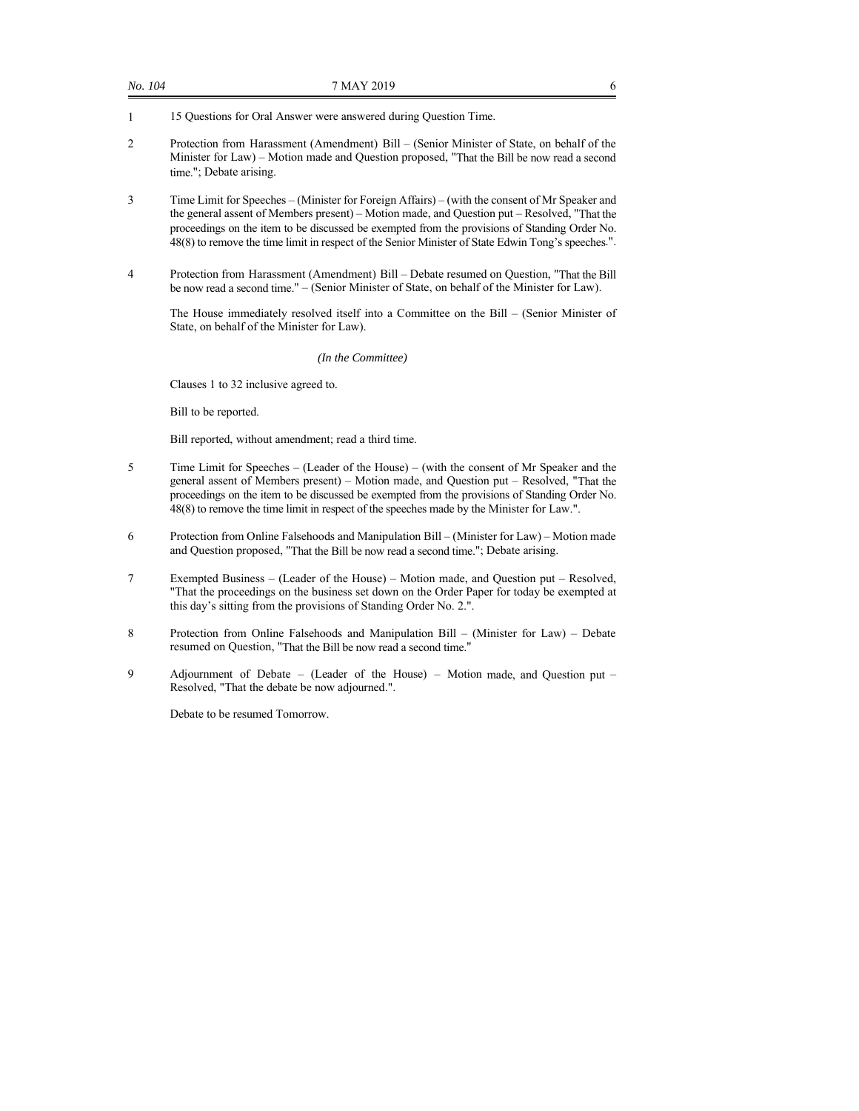- 1 15 Questions for Oral Answer were answered during Question Time.
- 2 Protection from Harassment (Amendment) Bill (Senior Minister of State, on behalf of the Minister for Law) – Motion made and Question proposed, "That the Bill be now read a second time."; Debate arising.
- 3 Time Limit for Speeches (Minister for Foreign Affairs) (with the consent of Mr Speaker and the general assent of Members present) – Motion made, and Question put – Resolved, "That the proceedings on the item to be discussed be exempted from the provisions of Standing Order No. 48(8) to remove the time limit in respect of the Senior Minister of State Edwin Tong's speeches.".
- 4 Protection from Harassment (Amendment) Bill Debate resumed on Question, "That the Bill be now read a second time." – (Senior Minister of State, on behalf of the Minister for Law).

 The House immediately resolved itself into a Committee on the Bill – (Senior Minister of State, on behalf of the Minister for Law).

*(In the Committee)*

Clauses 1 to 32 inclusive agreed to.

Bill to be reported.

Bill reported, without amendment; read a third time.

- 5 Time Limit for Speeches (Leader of the House) (with the consent of Mr Speaker and the general assent of Members present) – Motion made, and Question put – Resolved, "That the proceedings on the item to be discussed be exempted from the provisions of Standing Order No. 48(8) to remove the time limit in respect of the speeches made by the Minister for Law.".
- 6 Protection from Online Falsehoods and Manipulation Bill (Minister for Law) Motion made and Question proposed, "That the Bill be now read a second time."; Debate arising.
- 7 Exempted Business (Leader of the House) Motion made, and Question put Resolved, "That the proceedings on the business set down on the Order Paper for today be exempted at this day's sitting from the provisions of Standing Order No. 2.".
- 8 Protection from Online Falsehoods and Manipulation Bill (Minister for Law) Debate resumed on Question, "That the Bill be now read a second time."
- 9 Adjournment of Debate (Leader of the House) Motion made, and Question put Resolved, "That the debate be now adjourned.".

Debate to be resumed Tomorrow.